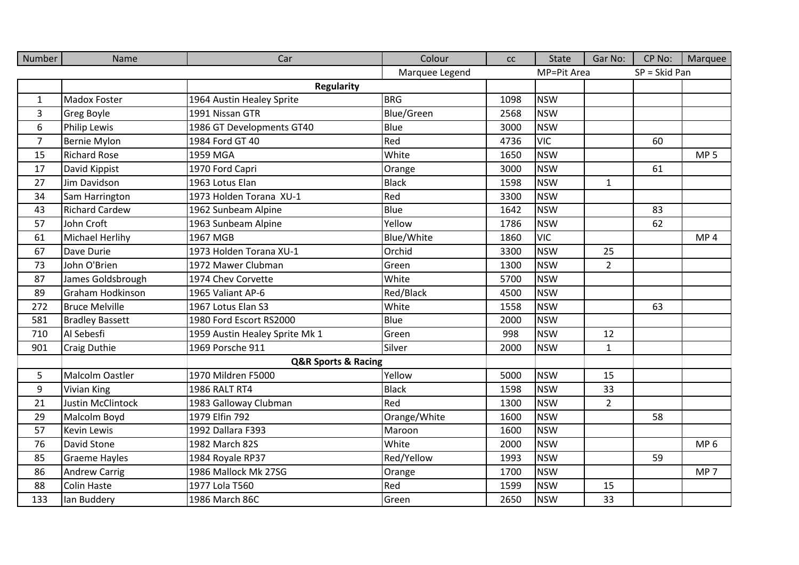| Number         | Name                     | Car                                | Colour            | cc   | <b>State</b> | Gar No:        | CP No:          | Marquee         |
|----------------|--------------------------|------------------------------------|-------------------|------|--------------|----------------|-----------------|-----------------|
|                |                          |                                    | Marquee Legend    |      | MP=Pit Area  |                | $SP = Skid Pan$ |                 |
|                |                          | <b>Regularity</b>                  |                   |      |              |                |                 |                 |
| $\mathbf{1}$   | <b>Madox Foster</b>      | 1964 Austin Healey Sprite          | <b>BRG</b>        | 1098 | <b>NSW</b>   |                |                 |                 |
| 3              | <b>Greg Boyle</b>        | 1991 Nissan GTR                    | <b>Blue/Green</b> | 2568 | <b>NSW</b>   |                |                 |                 |
| 6              | <b>Philip Lewis</b>      | 1986 GT Developments GT40          | Blue              | 3000 | <b>NSW</b>   |                |                 |                 |
| $\overline{7}$ | <b>Bernie Mylon</b>      | 1984 Ford GT 40                    | Red               | 4736 | <b>VIC</b>   |                | 60              |                 |
| 15             | <b>Richard Rose</b>      | 1959 MGA                           | White             | 1650 | <b>NSW</b>   |                |                 | MP <sub>5</sub> |
| 17             | David Kippist            | 1970 Ford Capri                    | Orange            | 3000 | <b>NSW</b>   |                | 61              |                 |
| 27             | Jim Davidson             | 1963 Lotus Elan                    | <b>Black</b>      | 1598 | <b>NSW</b>   | $\mathbf{1}$   |                 |                 |
| 34             | Sam Harrington           | 1973 Holden Torana XU-1            | Red               | 3300 | <b>NSW</b>   |                |                 |                 |
| 43             | <b>Richard Cardew</b>    | 1962 Sunbeam Alpine                | Blue              | 1642 | <b>NSW</b>   |                | 83              |                 |
| 57             | John Croft               | 1963 Sunbeam Alpine                | Yellow            | 1786 | <b>NSW</b>   |                | 62              |                 |
| 61             | Michael Herlihy          | 1967 MGB                           | Blue/White        | 1860 | <b>VIC</b>   |                |                 | MP <sub>4</sub> |
| 67             | Dave Durie               | 1973 Holden Torana XU-1            | Orchid            | 3300 | <b>NSW</b>   | 25             |                 |                 |
| 73             | John O'Brien             | 1972 Mawer Clubman                 | Green             | 1300 | <b>NSW</b>   | $\overline{2}$ |                 |                 |
| 87             | James Goldsbrough        | 1974 Chev Corvette                 | White             | 5700 | <b>NSW</b>   |                |                 |                 |
| 89             | Graham Hodkinson         | 1965 Valiant AP-6                  | Red/Black         | 4500 | <b>NSW</b>   |                |                 |                 |
| 272            | <b>Bruce Melville</b>    | 1967 Lotus Elan S3                 | White             | 1558 | <b>NSW</b>   |                | 63              |                 |
| 581            | <b>Bradley Bassett</b>   | 1980 Ford Escort RS2000            | Blue              | 2000 | <b>NSW</b>   |                |                 |                 |
| 710            | Al Sebesfi               | 1959 Austin Healey Sprite Mk 1     | Green             | 998  | <b>NSW</b>   | 12             |                 |                 |
| 901            | <b>Craig Duthie</b>      | 1969 Porsche 911                   | Silver            | 2000 | <b>NSW</b>   | $\mathbf{1}$   |                 |                 |
|                |                          | <b>Q&amp;R Sports &amp; Racing</b> |                   |      |              |                |                 |                 |
| 5              | <b>Malcolm Oastler</b>   | 1970 Mildren F5000                 | Yellow            | 5000 | <b>NSW</b>   | 15             |                 |                 |
| 9              | <b>Vivian King</b>       | <b>1986 RALT RT4</b>               | <b>Black</b>      | 1598 | <b>NSW</b>   | 33             |                 |                 |
| 21             | <b>Justin McClintock</b> | 1983 Galloway Clubman              | Red               | 1300 | <b>NSW</b>   | $\overline{2}$ |                 |                 |
| 29             | Malcolm Boyd             | 1979 Elfin 792                     | Orange/White      | 1600 | <b>NSW</b>   |                | 58              |                 |
| 57             | <b>Kevin Lewis</b>       | 1992 Dallara F393                  | Maroon            | 1600 | <b>NSW</b>   |                |                 |                 |
| 76             | David Stone              | 1982 March 82S                     | White             | 2000 | <b>NSW</b>   |                |                 | MP <sub>6</sub> |
| 85             | <b>Graeme Hayles</b>     | 1984 Royale RP37                   | Red/Yellow        | 1993 | <b>NSW</b>   |                | 59              |                 |
| 86             | <b>Andrew Carrig</b>     | 1986 Mallock Mk 27SG               | Orange            | 1700 | <b>NSW</b>   |                |                 | MP <sub>7</sub> |
| 88             | <b>Colin Haste</b>       | 1977 Lola T560                     | Red               | 1599 | <b>NSW</b>   | 15             |                 |                 |
| 133            | lan Buddery              | 1986 March 86C                     | Green             | 2650 | <b>NSW</b>   | 33             |                 |                 |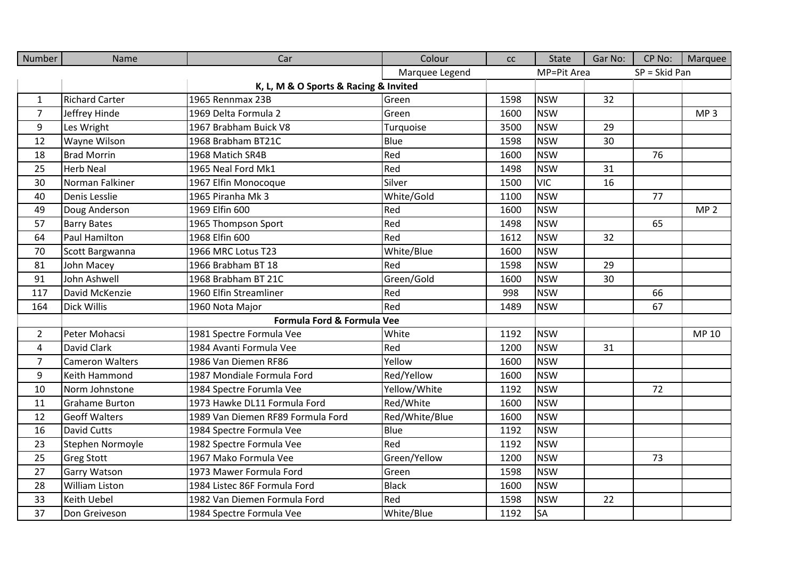| Number         | Name                   | Car                                   | Colour         | cc   | <b>State</b> | Gar No: | CP No:          | Marquee         |
|----------------|------------------------|---------------------------------------|----------------|------|--------------|---------|-----------------|-----------------|
|                |                        |                                       | Marquee Legend |      | MP=Pit Area  |         | $SP = Skid Pan$ |                 |
|                |                        | K, L, M & O Sports & Racing & Invited |                |      |              |         |                 |                 |
| $\mathbf{1}$   | <b>Richard Carter</b>  | 1965 Rennmax 23B                      | Green          | 1598 | <b>NSW</b>   | 32      |                 |                 |
| $\overline{7}$ | Jeffrey Hinde          | 1969 Delta Formula 2                  | Green          | 1600 | <b>NSW</b>   |         |                 | MP <sub>3</sub> |
| 9              | Les Wright             | 1967 Brabham Buick V8                 | Turquoise      | 3500 | <b>NSW</b>   | 29      |                 |                 |
| 12             | Wayne Wilson           | 1968 Brabham BT21C                    | Blue           | 1598 | <b>NSW</b>   | 30      |                 |                 |
| 18             | <b>Brad Morrin</b>     | 1968 Matich SR4B                      | Red            | 1600 | <b>NSW</b>   |         | 76              |                 |
| 25             | <b>Herb Neal</b>       | 1965 Neal Ford Mk1                    | Red            | 1498 | <b>NSW</b>   | 31      |                 |                 |
| 30             | Norman Falkiner        | 1967 Elfin Monocoque                  | Silver         | 1500 | <b>VIC</b>   | 16      |                 |                 |
| 40             | Denis Lesslie          | 1965 Piranha Mk 3                     | White/Gold     | 1100 | <b>NSW</b>   |         | 77              |                 |
| 49             | Doug Anderson          | 1969 Elfin 600                        | Red            | 1600 | <b>NSW</b>   |         |                 | MP <sub>2</sub> |
| 57             | <b>Barry Bates</b>     | 1965 Thompson Sport                   | Red            | 1498 | <b>NSW</b>   |         | 65              |                 |
| 64             | Paul Hamilton          | 1968 Elfin 600                        | Red            | 1612 | <b>NSW</b>   | 32      |                 |                 |
| 70             | Scott Bargwanna        | 1966 MRC Lotus T23                    | White/Blue     | 1600 | <b>NSW</b>   |         |                 |                 |
| 81             | John Macey             | 1966 Brabham BT 18                    | Red            | 1598 | <b>NSW</b>   | 29      |                 |                 |
| 91             | John Ashwell           | 1968 Brabham BT 21C                   | Green/Gold     | 1600 | <b>NSW</b>   | 30      |                 |                 |
| 117            | David McKenzie         | 1960 Elfin Streamliner                | Red            | 998  | <b>NSW</b>   |         | 66              |                 |
| 164            | Dick Willis            | 1960 Nota Major                       | Red            | 1489 | <b>NSW</b>   |         | 67              |                 |
|                |                        | Formula Ford & Formula Vee            |                |      |              |         |                 |                 |
| $\overline{2}$ | Peter Mohacsi          | 1981 Spectre Formula Vee              | White          | 1192 | <b>NSW</b>   |         |                 | MP 10           |
| $\overline{4}$ | David Clark            | 1984 Avanti Formula Vee               | Red            | 1200 | <b>NSW</b>   | 31      |                 |                 |
| $\overline{7}$ | <b>Cameron Walters</b> | 1986 Van Diemen RF86                  | Yellow         | 1600 | <b>NSW</b>   |         |                 |                 |
| 9              | Keith Hammond          | 1987 Mondiale Formula Ford            | Red/Yellow     | 1600 | <b>NSW</b>   |         |                 |                 |
| 10             | Norm Johnstone         | 1984 Spectre Forumla Vee              | Yellow/White   | 1192 | <b>NSW</b>   |         | 72              |                 |
| 11             | <b>Grahame Burton</b>  | 1973 Hawke DL11 Formula Ford          | Red/White      | 1600 | <b>NSW</b>   |         |                 |                 |
| 12             | <b>Geoff Walters</b>   | 1989 Van Diemen RF89 Formula Ford     | Red/White/Blue | 1600 | <b>NSW</b>   |         |                 |                 |
| 16             | <b>David Cutts</b>     | 1984 Spectre Formula Vee              | Blue           | 1192 | <b>NSW</b>   |         |                 |                 |
| 23             | Stephen Normoyle       | 1982 Spectre Formula Vee              | Red            | 1192 | <b>NSW</b>   |         |                 |                 |
| 25             | <b>Greg Stott</b>      | 1967 Mako Formula Vee                 | Green/Yellow   | 1200 | <b>NSW</b>   |         | 73              |                 |
| 27             | Garry Watson           | 1973 Mawer Formula Ford               | Green          | 1598 | <b>NSW</b>   |         |                 |                 |
| 28             | William Liston         | 1984 Listec 86F Formula Ford          | <b>Black</b>   | 1600 | <b>NSW</b>   |         |                 |                 |
| 33             | Keith Uebel            | 1982 Van Diemen Formula Ford          | Red            | 1598 | <b>NSW</b>   | 22      |                 |                 |
| 37             | Don Greiveson          | 1984 Spectre Formula Vee              | White/Blue     | 1192 | <b>SA</b>    |         |                 |                 |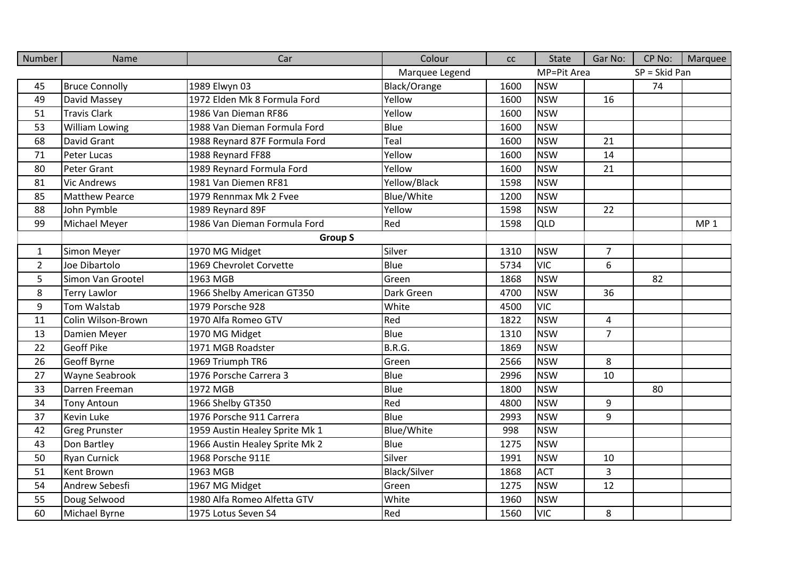| Number         | Name                  | Car                            | Colour              | cc   | <b>State</b> | Gar No:        | CP No:        | Marquee         |
|----------------|-----------------------|--------------------------------|---------------------|------|--------------|----------------|---------------|-----------------|
|                |                       |                                | Marquee Legend      |      | MP=Pit Area  |                | SP = Skid Pan |                 |
| 45             | <b>Bruce Connolly</b> | 1989 Elwyn 03                  | Black/Orange        | 1600 | <b>NSW</b>   |                | 74            |                 |
| 49             | David Massey          | 1972 Elden Mk 8 Formula Ford   | Yellow              | 1600 | <b>NSW</b>   | 16             |               |                 |
| 51             | <b>Travis Clark</b>   | 1986 Van Dieman RF86           | Yellow              | 1600 | <b>NSW</b>   |                |               |                 |
| 53             | William Lowing        | 1988 Van Dieman Formula Ford   | Blue                | 1600 | <b>NSW</b>   |                |               |                 |
| 68             | David Grant           | 1988 Reynard 87F Formula Ford  | Teal                | 1600 | <b>NSW</b>   | 21             |               |                 |
| 71             | Peter Lucas           | 1988 Reynard FF88              | Yellow              | 1600 | <b>NSW</b>   | 14             |               |                 |
| 80             | Peter Grant           | 1989 Reynard Formula Ford      | Yellow              | 1600 | <b>NSW</b>   | 21             |               |                 |
| 81             | <b>Vic Andrews</b>    | 1981 Van Diemen RF81           | Yellow/Black        | 1598 | <b>NSW</b>   |                |               |                 |
| 85             | <b>Matthew Pearce</b> | 1979 Rennmax Mk 2 Fvee         | Blue/White          | 1200 | <b>NSW</b>   |                |               |                 |
| 88             | John Pymble           | 1989 Reynard 89F               | Yellow              | 1598 | <b>NSW</b>   | 22             |               |                 |
| 99             | Michael Meyer         | 1986 Van Dieman Formula Ford   | Red                 | 1598 | QLD          |                |               | MP <sub>1</sub> |
|                |                       | <b>Group S</b>                 |                     |      |              |                |               |                 |
| $\mathbf{1}$   | Simon Meyer           | 1970 MG Midget                 | Silver              | 1310 | <b>NSW</b>   | $\overline{7}$ |               |                 |
| $\overline{2}$ | Joe Dibartolo         | 1969 Chevrolet Corvette        | Blue                | 5734 | <b>VIC</b>   | 6              |               |                 |
| 5              | Simon Van Grootel     | 1963 MGB                       | Green               | 1868 | <b>NSW</b>   |                | 82            |                 |
| 8              | <b>Terry Lawlor</b>   | 1966 Shelby American GT350     | Dark Green          | 4700 | <b>NSW</b>   | 36             |               |                 |
| 9              | Tom Walstab           | 1979 Porsche 928               | White               | 4500 | <b>VIC</b>   |                |               |                 |
| 11             | Colin Wilson-Brown    | 1970 Alfa Romeo GTV            | Red                 | 1822 | <b>NSW</b>   | 4              |               |                 |
| 13             | Damien Meyer          | 1970 MG Midget                 | Blue                | 1310 | <b>NSW</b>   | $\overline{7}$ |               |                 |
| 22             | <b>Geoff Pike</b>     | 1971 MGB Roadster              | B.R.G.              | 1869 | <b>NSW</b>   |                |               |                 |
| 26             | Geoff Byrne           | 1969 Triumph TR6               | Green               | 2566 | <b>NSW</b>   | 8              |               |                 |
| 27             | Wayne Seabrook        | 1976 Porsche Carrera 3         | Blue                | 2996 | <b>NSW</b>   | 10             |               |                 |
| 33             | Darren Freeman        | 1972 MGB                       | Blue                | 1800 | <b>NSW</b>   |                | 80            |                 |
| 34             | <b>Tony Antoun</b>    | 1966 Shelby GT350              | Red                 | 4800 | <b>NSW</b>   | 9              |               |                 |
| 37             | <b>Kevin Luke</b>     | 1976 Porsche 911 Carrera       | Blue                | 2993 | <b>NSW</b>   | 9              |               |                 |
| 42             | <b>Greg Prunster</b>  | 1959 Austin Healey Sprite Mk 1 | <b>Blue/White</b>   | 998  | <b>NSW</b>   |                |               |                 |
| 43             | Don Bartley           | 1966 Austin Healey Sprite Mk 2 | Blue                | 1275 | <b>NSW</b>   |                |               |                 |
| 50             | <b>Ryan Curnick</b>   | 1968 Porsche 911E              | Silver              | 1991 | <b>NSW</b>   | 10             |               |                 |
| 51             | Kent Brown            | 1963 MGB                       | <b>Black/Silver</b> | 1868 | <b>ACT</b>   | $\overline{3}$ |               |                 |
| 54             | Andrew Sebesfi        | 1967 MG Midget                 | Green               | 1275 | <b>NSW</b>   | 12             |               |                 |
| 55             | Doug Selwood          | 1980 Alfa Romeo Alfetta GTV    | White               | 1960 | <b>NSW</b>   |                |               |                 |
| 60             | Michael Byrne         | 1975 Lotus Seven S4            | Red                 | 1560 | <b>VIC</b>   | 8              |               |                 |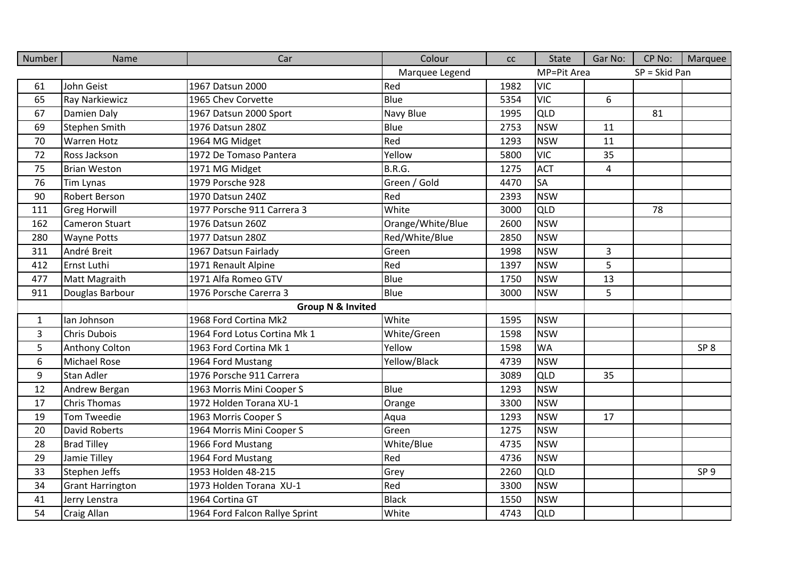| Number       | Name                    | Car                            | Colour            | cc   | <b>State</b> | Gar No:        | CP No:        | Marquee         |
|--------------|-------------------------|--------------------------------|-------------------|------|--------------|----------------|---------------|-----------------|
|              |                         |                                | Marquee Legend    |      | MP=Pit Area  |                | SP = Skid Pan |                 |
| 61           | John Geist              | 1967 Datsun 2000               | Red               | 1982 | <b>VIC</b>   |                |               |                 |
| 65           | Ray Narkiewicz          | 1965 Chev Corvette             | Blue              | 5354 | <b>VIC</b>   | 6              |               |                 |
| 67           | Damien Daly             | 1967 Datsun 2000 Sport         | Navy Blue         | 1995 | QLD          |                | 81            |                 |
| 69           | <b>Stephen Smith</b>    | 1976 Datsun 280Z               | Blue              | 2753 | <b>NSW</b>   | 11             |               |                 |
| 70           | <b>Warren Hotz</b>      | 1964 MG Midget                 | Red               | 1293 | <b>NSW</b>   | 11             |               |                 |
| 72           | Ross Jackson            | 1972 De Tomaso Pantera         | Yellow            | 5800 | <b>VIC</b>   | 35             |               |                 |
| 75           | <b>Brian Weston</b>     | 1971 MG Midget                 | B.R.G.            | 1275 | <b>ACT</b>   | 4              |               |                 |
| 76           | <b>Tim Lynas</b>        | 1979 Porsche 928               | Green / Gold      | 4470 | <b>SA</b>    |                |               |                 |
| 90           | Robert Berson           | 1970 Datsun 240Z               | Red               | 2393 | <b>NSW</b>   |                |               |                 |
| 111          | <b>Greg Horwill</b>     | 1977 Porsche 911 Carrera 3     | White             | 3000 | QLD          |                | 78            |                 |
| 162          | Cameron Stuart          | 1976 Datsun 260Z               | Orange/White/Blue | 2600 | <b>NSW</b>   |                |               |                 |
| 280          | <b>Wayne Potts</b>      | 1977 Datsun 280Z               | Red/White/Blue    | 2850 | <b>NSW</b>   |                |               |                 |
| 311          | André Breit             | 1967 Datsun Fairlady           | Green             | 1998 | <b>NSW</b>   | $\overline{3}$ |               |                 |
| 412          | Ernst Luthi             | 1971 Renault Alpine            | Red               | 1397 | <b>NSW</b>   | 5              |               |                 |
| 477          | Matt Magraith           | 1971 Alfa Romeo GTV            | Blue              | 1750 | <b>NSW</b>   | 13             |               |                 |
| 911          | Douglas Barbour         | 1976 Porsche Carerra 3         | Blue              | 3000 | <b>NSW</b>   | 5              |               |                 |
|              |                         | <b>Group N &amp; Invited</b>   |                   |      |              |                |               |                 |
| $\mathbf{1}$ | lan Johnson             | 1968 Ford Cortina Mk2          | White             | 1595 | <b>NSW</b>   |                |               |                 |
| 3            | Chris Dubois            | 1964 Ford Lotus Cortina Mk 1   | White/Green       | 1598 | <b>NSW</b>   |                |               |                 |
| 5            | Anthony Colton          | 1963 Ford Cortina Mk 1         | Yellow            | 1598 | <b>WA</b>    |                |               | SP <sub>8</sub> |
| 6            | <b>Michael Rose</b>     | 1964 Ford Mustang              | Yellow/Black      | 4739 | <b>NSW</b>   |                |               |                 |
| 9            | <b>Stan Adler</b>       | 1976 Porsche 911 Carrera       |                   | 3089 | QLD          | 35             |               |                 |
| 12           | Andrew Bergan           | 1963 Morris Mini Cooper S      | Blue              | 1293 | <b>NSW</b>   |                |               |                 |
| 17           | <b>Chris Thomas</b>     | 1972 Holden Torana XU-1        | Orange            | 3300 | <b>NSW</b>   |                |               |                 |
| 19           | Tom Tweedie             | 1963 Morris Cooper S           | Aqua              | 1293 | <b>NSW</b>   | 17             |               |                 |
| 20           | <b>David Roberts</b>    | 1964 Morris Mini Cooper S      | Green             | 1275 | <b>NSW</b>   |                |               |                 |
| 28           | <b>Brad Tilley</b>      | 1966 Ford Mustang              | White/Blue        | 4735 | <b>NSW</b>   |                |               |                 |
| 29           | Jamie Tilley            | 1964 Ford Mustang              | Red               | 4736 | <b>NSW</b>   |                |               |                 |
| 33           | Stephen Jeffs           | 1953 Holden 48-215             | Grey              | 2260 | QLD          |                |               | SP <sub>9</sub> |
| 34           | <b>Grant Harrington</b> | 1973 Holden Torana XU-1        | Red               | 3300 | <b>NSW</b>   |                |               |                 |
| 41           | Jerry Lenstra           | 1964 Cortina GT                | <b>Black</b>      | 1550 | <b>NSW</b>   |                |               |                 |
| 54           | Craig Allan             | 1964 Ford Falcon Rallye Sprint | White             | 4743 | <b>QLD</b>   |                |               |                 |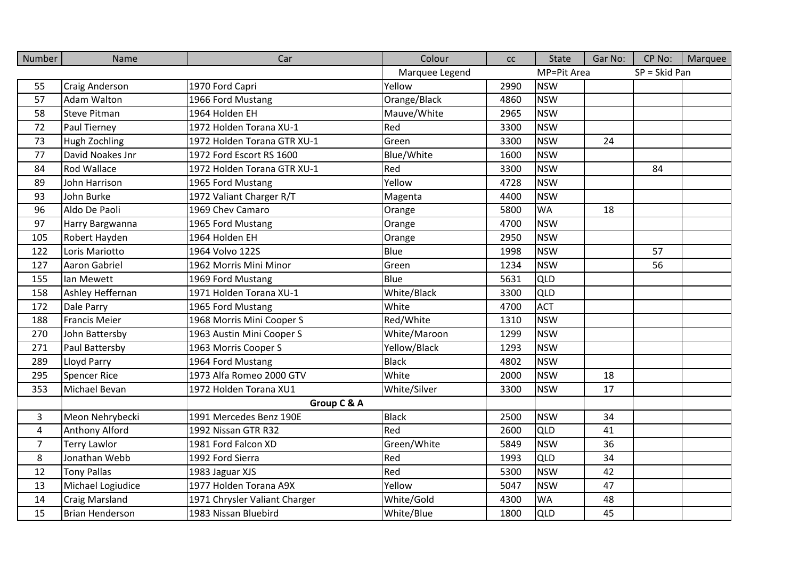| Number                  | Name                   | Car                           | Colour         | cc   | <b>State</b> | Gar No: | CP No:        | Marquee |
|-------------------------|------------------------|-------------------------------|----------------|------|--------------|---------|---------------|---------|
|                         |                        |                               | Marquee Legend |      | MP=Pit Area  |         | SP = Skid Pan |         |
| 55                      | Craig Anderson         | 1970 Ford Capri               | Yellow         | 2990 | <b>NSW</b>   |         |               |         |
| 57                      | Adam Walton            | 1966 Ford Mustang             | Orange/Black   | 4860 | <b>NSW</b>   |         |               |         |
| 58                      | <b>Steve Pitman</b>    | 1964 Holden EH                | Mauve/White    | 2965 | <b>NSW</b>   |         |               |         |
| 72                      | Paul Tierney           | 1972 Holden Torana XU-1       | Red            | 3300 | <b>NSW</b>   |         |               |         |
| 73                      | Hugh Zochling          | 1972 Holden Torana GTR XU-1   | Green          | 3300 | <b>NSW</b>   | 24      |               |         |
| 77                      | David Noakes Jnr       | 1972 Ford Escort RS 1600      | Blue/White     | 1600 | <b>NSW</b>   |         |               |         |
| 84                      | <b>Rod Wallace</b>     | 1972 Holden Torana GTR XU-1   | Red            | 3300 | <b>NSW</b>   |         | 84            |         |
| 89                      | John Harrison          | 1965 Ford Mustang             | Yellow         | 4728 | <b>NSW</b>   |         |               |         |
| 93                      | John Burke             | 1972 Valiant Charger R/T      | Magenta        | 4400 | <b>NSW</b>   |         |               |         |
| 96                      | Aldo De Paoli          | 1969 Chev Camaro              | Orange         | 5800 | <b>WA</b>    | 18      |               |         |
| 97                      | Harry Bargwanna        | 1965 Ford Mustang             | Orange         | 4700 | <b>NSW</b>   |         |               |         |
| 105                     | Robert Hayden          | 1964 Holden EH                | Orange         | 2950 | <b>NSW</b>   |         |               |         |
| 122                     | Loris Mariotto         | 1964 Volvo 122S               | Blue           | 1998 | <b>NSW</b>   |         | 57            |         |
| 127                     | Aaron Gabriel          | 1962 Morris Mini Minor        | Green          | 1234 | <b>NSW</b>   |         | 56            |         |
| 155                     | Ian Mewett             | 1969 Ford Mustang             | Blue           | 5631 | QLD          |         |               |         |
| 158                     | Ashley Heffernan       | 1971 Holden Torana XU-1       | White/Black    | 3300 | <b>QLD</b>   |         |               |         |
| 172                     | Dale Parry             | 1965 Ford Mustang             | White          | 4700 | <b>ACT</b>   |         |               |         |
| 188                     | <b>Francis Meier</b>   | 1968 Morris Mini Cooper S     | Red/White      | 1310 | <b>NSW</b>   |         |               |         |
| 270                     | John Battersby         | 1963 Austin Mini Cooper S     | White/Maroon   | 1299 | <b>NSW</b>   |         |               |         |
| 271                     | Paul Battersby         | 1963 Morris Cooper S          | Yellow/Black   | 1293 | <b>NSW</b>   |         |               |         |
| 289                     | Lloyd Parry            | 1964 Ford Mustang             | <b>Black</b>   | 4802 | <b>NSW</b>   |         |               |         |
| 295                     | <b>Spencer Rice</b>    | 1973 Alfa Romeo 2000 GTV      | White          | 2000 | <b>NSW</b>   | 18      |               |         |
| 353                     | Michael Bevan          | 1972 Holden Torana XU1        | White/Silver   | 3300 | <b>NSW</b>   | 17      |               |         |
|                         |                        | Group C & A                   |                |      |              |         |               |         |
| 3                       | Meon Nehrybecki        | 1991 Mercedes Benz 190E       | <b>Black</b>   | 2500 | <b>NSW</b>   | 34      |               |         |
| $\overline{\mathbf{4}}$ | Anthony Alford         | 1992 Nissan GTR R32           | Red            | 2600 | <b>QLD</b>   | 41      |               |         |
| $\overline{7}$          | <b>Terry Lawlor</b>    | 1981 Ford Falcon XD           | Green/White    | 5849 | <b>NSW</b>   | 36      |               |         |
| 8                       | Jonathan Webb          | 1992 Ford Sierra              | Red            | 1993 | QLD          | 34      |               |         |
| 12                      | <b>Tony Pallas</b>     | 1983 Jaguar XJS               | Red            | 5300 | <b>NSW</b>   | 42      |               |         |
| 13                      | Michael Logiudice      | 1977 Holden Torana A9X        | Yellow         | 5047 | <b>NSW</b>   | 47      |               |         |
| 14                      | <b>Craig Marsland</b>  | 1971 Chrysler Valiant Charger | White/Gold     | 4300 | <b>WA</b>    | 48      |               |         |
| 15                      | <b>Brian Henderson</b> | 1983 Nissan Bluebird          | White/Blue     | 1800 | QLD          | 45      |               |         |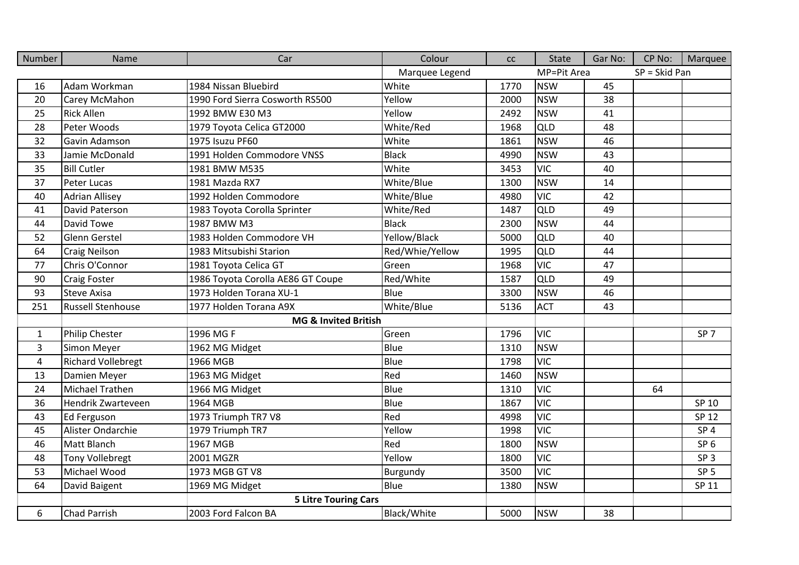| Number         | Name                      | Car                               | Colour          | cc   | State       | Gar No: | CP No:        | Marquee         |
|----------------|---------------------------|-----------------------------------|-----------------|------|-------------|---------|---------------|-----------------|
|                |                           |                                   | Marquee Legend  |      | MP=Pit Area |         | SP = Skid Pan |                 |
| 16             | Adam Workman              | 1984 Nissan Bluebird              | White           | 1770 | <b>NSW</b>  | 45      |               |                 |
| 20             | Carey McMahon             | 1990 Ford Sierra Cosworth RS500   | Yellow          | 2000 | <b>NSW</b>  | 38      |               |                 |
| 25             | <b>Rick Allen</b>         | 1992 BMW E30 M3                   | Yellow          | 2492 | <b>NSW</b>  | 41      |               |                 |
| 28             | Peter Woods               | 1979 Toyota Celica GT2000         | White/Red       | 1968 | <b>QLD</b>  | 48      |               |                 |
| 32             | Gavin Adamson             | 1975 Isuzu PF60                   | White           | 1861 | <b>NSW</b>  | 46      |               |                 |
| 33             | Jamie McDonald            | 1991 Holden Commodore VNSS        | <b>Black</b>    | 4990 | <b>NSW</b>  | 43      |               |                 |
| 35             | <b>Bill Cutler</b>        | 1981 BMW M535                     | White           | 3453 | <b>VIC</b>  | 40      |               |                 |
| 37             | Peter Lucas               | 1981 Mazda RX7                    | White/Blue      | 1300 | <b>NSW</b>  | 14      |               |                 |
| 40             | <b>Adrian Allisey</b>     | 1992 Holden Commodore             | White/Blue      | 4980 | <b>VIC</b>  | 42      |               |                 |
| 41             | David Paterson            | 1983 Toyota Corolla Sprinter      | White/Red       | 1487 | QLD         | 49      |               |                 |
| 44             | David Towe                | 1987 BMW M3                       | <b>Black</b>    | 2300 | <b>NSW</b>  | 44      |               |                 |
| 52             | Glenn Gerstel             | 1983 Holden Commodore VH          | Yellow/Black    | 5000 | QLD         | 40      |               |                 |
| 64             | <b>Craig Neilson</b>      | 1983 Mitsubishi Starion           | Red/Whie/Yellow | 1995 | QLD         | 44      |               |                 |
| 77             | Chris O'Connor            | 1981 Toyota Celica GT             | Green           | 1968 | <b>VIC</b>  | 47      |               |                 |
| 90             | <b>Craig Foster</b>       | 1986 Toyota Corolla AE86 GT Coupe | Red/White       | 1587 | QLD         | 49      |               |                 |
| 93             | <b>Steve Axisa</b>        | 1973 Holden Torana XU-1           | <b>Blue</b>     | 3300 | <b>NSW</b>  | 46      |               |                 |
| 251            | <b>Russell Stenhouse</b>  | 1977 Holden Torana A9X            | White/Blue      | 5136 | <b>ACT</b>  | 43      |               |                 |
|                |                           | MG & Invited British              |                 |      |             |         |               |                 |
| $\mathbf{1}$   | <b>Philip Chester</b>     | 1996 MG F                         | Green           | 1796 | <b>VIC</b>  |         |               | SP <sub>7</sub> |
| 3              | Simon Meyer               | 1962 MG Midget                    | Blue            | 1310 | <b>NSW</b>  |         |               |                 |
| $\overline{4}$ | <b>Richard Vollebregt</b> | 1966 MGB                          | Blue            | 1798 | <b>VIC</b>  |         |               |                 |
| 13             | Damien Meyer              | 1963 MG Midget                    | Red             | 1460 | <b>NSW</b>  |         |               |                 |
| 24             | <b>Michael Trathen</b>    | 1966 MG Midget                    | <b>Blue</b>     | 1310 | <b>VIC</b>  |         | 64            |                 |
| 36             | Hendrik Zwarteveen        | 1964 MGB                          | Blue            | 1867 | <b>VIC</b>  |         |               | SP 10           |
| 43             | Ed Ferguson               | 1973 Triumph TR7 V8               | Red             | 4998 | <b>VIC</b>  |         |               | SP 12           |
| 45             | Alister Ondarchie         | 1979 Triumph TR7                  | Yellow          | 1998 | <b>VIC</b>  |         |               | SP <sub>4</sub> |
| 46             | <b>Matt Blanch</b>        | 1967 MGB                          | Red             | 1800 | <b>NSW</b>  |         |               | SP <sub>6</sub> |
| 48             | <b>Tony Vollebregt</b>    | 2001 MGZR                         | Yellow          | 1800 | <b>VIC</b>  |         |               | SP <sub>3</sub> |
| 53             | Michael Wood              | 1973 MGB GT V8                    | Burgundy        | 3500 | <b>VIC</b>  |         |               | SP <sub>5</sub> |
| 64             | David Baigent             | 1969 MG Midget                    | Blue            | 1380 | <b>NSW</b>  |         |               | SP 11           |
|                |                           | <b>5 Litre Touring Cars</b>       |                 |      |             |         |               |                 |
| 6              | <b>Chad Parrish</b>       | 2003 Ford Falcon BA               | Black/White     | 5000 | <b>NSW</b>  | 38      |               |                 |